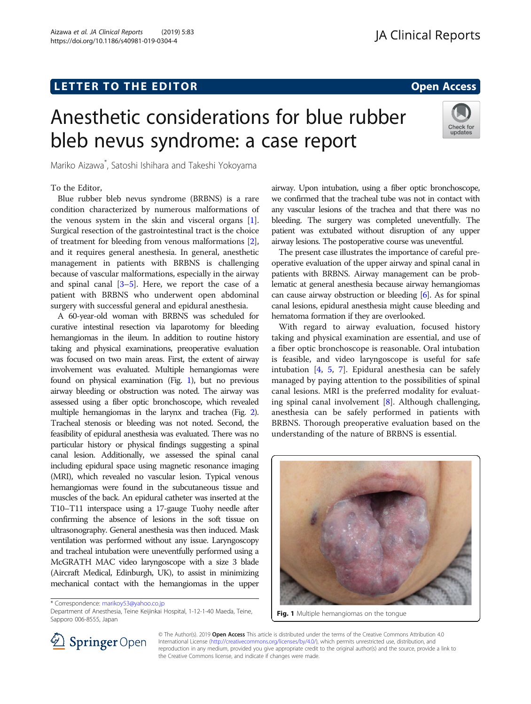# L E T T ER TOR OPEN A T T ER TOR OPEN A T T ER TOR OPEN A T T ER TOR OPEN A T T ER TOR OPEN A T T ER TOR OPEN <br>A t er tor open [Access](http://crossmark.crossref.org/dialog/?doi=10.1186/s40981-019-0304-4&domain=pdf) and the second and the second and the second and the second and the second and the secon

Check for updates

# Anesthetic considerations for blue rubber bleb nevus syndrome: a case report

Mariko Aizawa\* , Satoshi Ishihara and Takeshi Yokoyama

# To the Editor,

Blue rubber bleb nevus syndrome (BRBNS) is a rare condition characterized by numerous malformations of the venous system in the skin and visceral organs [[1](#page-1-0)]. Surgical resection of the gastrointestinal tract is the choice of treatment for bleeding from venous malformations [[2](#page-1-0)], and it requires general anesthesia. In general, anesthetic management in patients with BRBNS is challenging because of vascular malformations, especially in the airway and spinal canal  $[3-5]$  $[3-5]$  $[3-5]$ . Here, we report the case of a patient with BRBNS who underwent open abdominal surgery with successful general and epidural anesthesia.

A 60-year-old woman with BRBNS was scheduled for curative intestinal resection via laparotomy for bleeding hemangiomas in the ileum. In addition to routine history taking and physical examinations, preoperative evaluation was focused on two main areas. First, the extent of airway involvement was evaluated. Multiple hemangiomas were found on physical examination (Fig. 1), but no previous airway bleeding or obstruction was noted. The airway was assessed using a fiber optic bronchoscope, which revealed multiple hemangiomas in the larynx and trachea (Fig. [2\)](#page-1-0). Tracheal stenosis or bleeding was not noted. Second, the feasibility of epidural anesthesia was evaluated. There was no particular history or physical findings suggesting a spinal canal lesion. Additionally, we assessed the spinal canal including epidural space using magnetic resonance imaging (MRI), which revealed no vascular lesion. Typical venous hemangiomas were found in the subcutaneous tissue and muscles of the back. An epidural catheter was inserted at the T10–T11 interspace using a 17-gauge Tuohy needle after confirming the absence of lesions in the soft tissue on ultrasonography. General anesthesia was then induced. Mask ventilation was performed without any issue. Laryngoscopy and tracheal intubation were uneventfully performed using a McGRATH MAC video laryngoscope with a size 3 blade (Aircraft Medical, Edinburgh, UK), to assist in minimizing mechanical contact with the hemangiomas in the upper

\* Correspondence: [marikoy53@yahoo.co.jp](mailto:marikoy53@yahoo.co.jp)

Department of Anesthesia, Teine Keijinkai Hospital, 1-12-1-40 Maeda, Teine, **Fig. 1** Multiple hemangiomas on the tongue<br>Sapporo 006-8555, Japan

airway. Upon intubation, using a fiber optic bronchoscope, we confirmed that the tracheal tube was not in contact with any vascular lesions of the trachea and that there was no bleeding. The surgery was completed uneventfully. The patient was extubated without disruption of any upper airway lesions. The postoperative course was uneventful.

The present case illustrates the importance of careful preoperative evaluation of the upper airway and spinal canal in patients with BRBNS. Airway management can be problematic at general anesthesia because airway hemangiomas can cause airway obstruction or bleeding [\[6\]](#page-1-0). As for spinal canal lesions, epidural anesthesia might cause bleeding and hematoma formation if they are overlooked.

With regard to airway evaluation, focused history taking and physical examination are essential, and use of a fiber optic bronchoscope is reasonable. Oral intubation is feasible, and video laryngoscope is useful for safe intubation [\[4](#page-1-0), [5,](#page-1-0) [7\]](#page-1-0). Epidural anesthesia can be safely managed by paying attention to the possibilities of spinal canal lesions. MRI is the preferred modality for evaluating spinal canal involvement [[8\]](#page-1-0). Although challenging, anesthesia can be safely performed in patients with BRBNS. Thorough preoperative evaluation based on the understanding of the nature of BRBNS is essential.





© The Author(s). 2019 Open Access This article is distributed under the terms of the Creative Commons Attribution 4.0 International License ([http://creativecommons.org/licenses/by/4.0/\)](http://creativecommons.org/licenses/by/4.0/), which permits unrestricted use, distribution, and reproduction in any medium, provided you give appropriate credit to the original author(s) and the source, provide a link to the Creative Commons license, and indicate if changes were made.